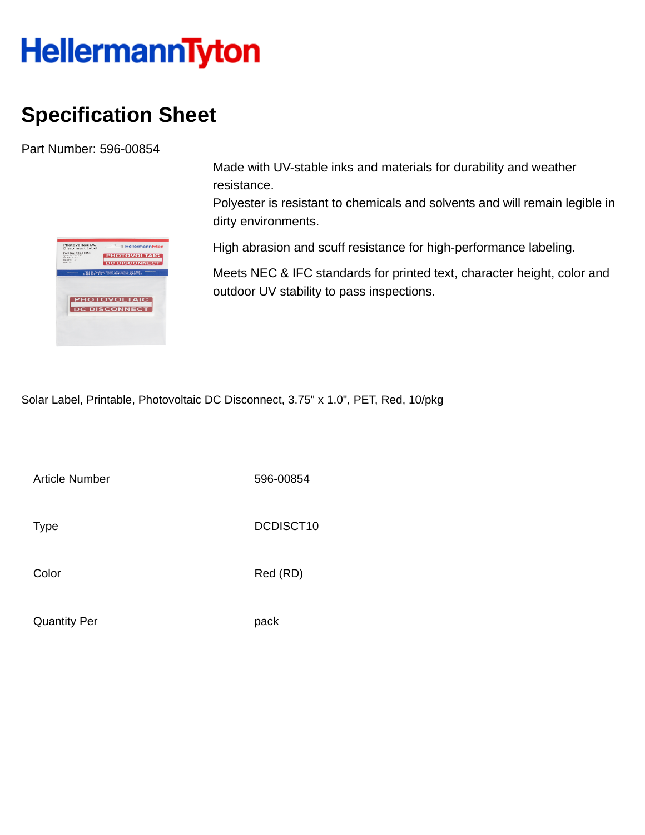## **HellermannTyton**

## **Specification Sheet**

Part Number: 596-00854

| Photovoltaic DC                         |                                                                                         |
|-----------------------------------------|-----------------------------------------------------------------------------------------|
| Disconnect Label                        | <b>HellermannTyton</b>                                                                  |
| Part No: 596-00854<br>Type: DCDISCT10   |                                                                                         |
| Width: 3.75"<br>Height: 1.0"<br>Ofw: 10 | <b>PHOTOVOLTAIC</b>                                                                     |
|                                         | <b>DC DISCONNECT</b>                                                                    |
|                                         | 7930 N. Faulkner Road, Milwaukee, WI 53224<br>1-800-537-1512 · www.Hellermann.Tyton.com |
|                                         |                                                                                         |
|                                         |                                                                                         |
|                                         |                                                                                         |
|                                         |                                                                                         |
|                                         |                                                                                         |
|                                         | <b>PHOTOVOLTAIC</b>                                                                     |
|                                         |                                                                                         |
|                                         | <b>DC DISCONNECT</b>                                                                    |
|                                         |                                                                                         |
|                                         |                                                                                         |
|                                         |                                                                                         |
|                                         |                                                                                         |

Made with UV-stable inks and materials for durability and weather resistance.

Polyester is resistant to chemicals and solvents and will remain legible in dirty environments.

High abrasion and scuff resistance for high-performance labeling.

Meets NEC & IFC standards for printed text, character height, color and outdoor UV stability to pass inspections.

Solar Label, Printable, Photovoltaic DC Disconnect, 3.75" x 1.0", PET, Red, 10/pkg

Article Number 596-00854

Type DCDISCT10

Color Red (RD)

Quantity Per **pack**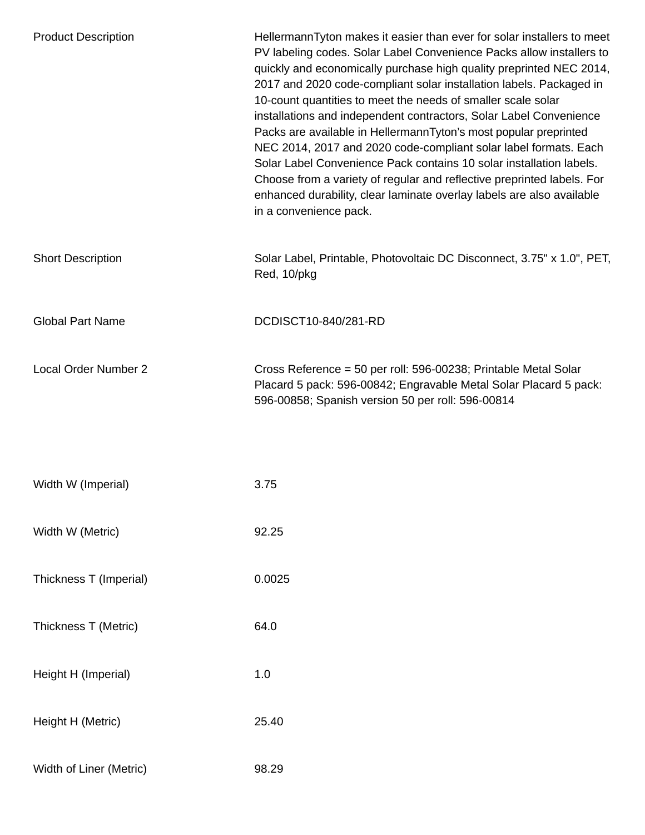| <b>Product Description</b> | HellermannTyton makes it easier than ever for solar installers to meet<br>PV labeling codes. Solar Label Convenience Packs allow installers to<br>quickly and economically purchase high quality preprinted NEC 2014,<br>2017 and 2020 code-compliant solar installation labels. Packaged in<br>10-count quantities to meet the needs of smaller scale solar<br>installations and independent contractors, Solar Label Convenience<br>Packs are available in HellermannTyton's most popular preprinted<br>NEC 2014, 2017 and 2020 code-compliant solar label formats. Each<br>Solar Label Convenience Pack contains 10 solar installation labels.<br>Choose from a variety of regular and reflective preprinted labels. For<br>enhanced durability, clear laminate overlay labels are also available<br>in a convenience pack. |
|----------------------------|--------------------------------------------------------------------------------------------------------------------------------------------------------------------------------------------------------------------------------------------------------------------------------------------------------------------------------------------------------------------------------------------------------------------------------------------------------------------------------------------------------------------------------------------------------------------------------------------------------------------------------------------------------------------------------------------------------------------------------------------------------------------------------------------------------------------------------|
| <b>Short Description</b>   | Solar Label, Printable, Photovoltaic DC Disconnect, 3.75" x 1.0", PET,<br>Red, 10/pkg                                                                                                                                                                                                                                                                                                                                                                                                                                                                                                                                                                                                                                                                                                                                          |
| <b>Global Part Name</b>    | DCDISCT10-840/281-RD                                                                                                                                                                                                                                                                                                                                                                                                                                                                                                                                                                                                                                                                                                                                                                                                           |
| Local Order Number 2       | Cross Reference = 50 per roll: 596-00238; Printable Metal Solar<br>Placard 5 pack: 596-00842; Engravable Metal Solar Placard 5 pack:<br>596-00858; Spanish version 50 per roll: 596-00814                                                                                                                                                                                                                                                                                                                                                                                                                                                                                                                                                                                                                                      |
| Width W (Imperial)         | 3.75                                                                                                                                                                                                                                                                                                                                                                                                                                                                                                                                                                                                                                                                                                                                                                                                                           |
| Width W (Metric)           | 92.25                                                                                                                                                                                                                                                                                                                                                                                                                                                                                                                                                                                                                                                                                                                                                                                                                          |
| Thickness T (Imperial)     | 0.0025                                                                                                                                                                                                                                                                                                                                                                                                                                                                                                                                                                                                                                                                                                                                                                                                                         |
| Thickness T (Metric)       | 64.0                                                                                                                                                                                                                                                                                                                                                                                                                                                                                                                                                                                                                                                                                                                                                                                                                           |
| Height H (Imperial)        | 1.0                                                                                                                                                                                                                                                                                                                                                                                                                                                                                                                                                                                                                                                                                                                                                                                                                            |
| Height H (Metric)          | 25.40                                                                                                                                                                                                                                                                                                                                                                                                                                                                                                                                                                                                                                                                                                                                                                                                                          |
| Width of Liner (Metric)    | 98.29                                                                                                                                                                                                                                                                                                                                                                                                                                                                                                                                                                                                                                                                                                                                                                                                                          |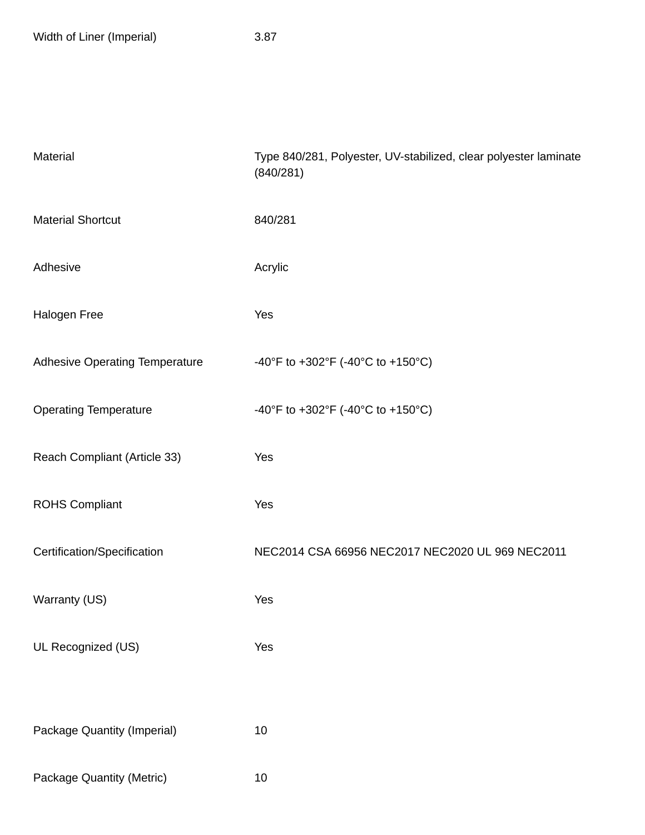| Material                              | Type 840/281, Polyester, UV-stabilized, clear polyester laminate<br>(840/281) |
|---------------------------------------|-------------------------------------------------------------------------------|
| <b>Material Shortcut</b>              | 840/281                                                                       |
| Adhesive                              | Acrylic                                                                       |
| Halogen Free                          | Yes                                                                           |
| <b>Adhesive Operating Temperature</b> | -40°F to +302°F (-40°C to +150°C)                                             |
| <b>Operating Temperature</b>          | -40°F to +302°F (-40°C to +150°C)                                             |
| Reach Compliant (Article 33)          | Yes                                                                           |
| <b>ROHS Compliant</b>                 | Yes                                                                           |
| Certification/Specification           | NEC2014 CSA 66956 NEC2017 NEC2020 UL 969 NEC2011                              |
| Warranty (US)                         | Yes                                                                           |
| UL Recognized (US)                    | Yes                                                                           |
|                                       |                                                                               |
| Package Quantity (Imperial)           | 10                                                                            |
| Package Quantity (Metric)             | 10                                                                            |